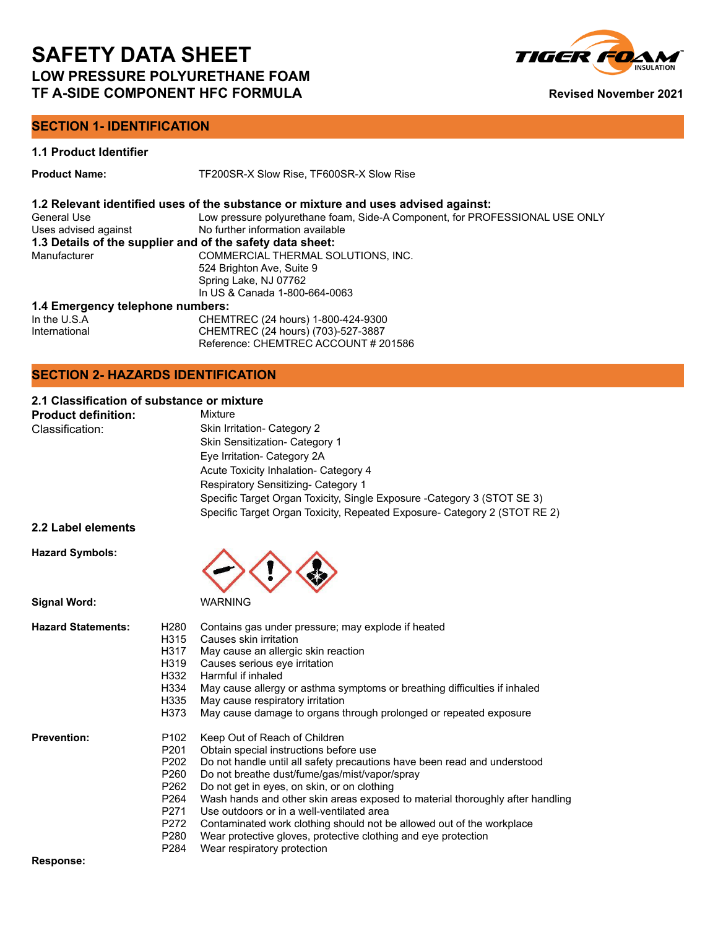

### **SECTION 1- IDENTIFICATION**

### **1.1 Product Identifier**

**Product Name:** TF200SR-X Slow Rise, TF600SR-X Slow Rise

### **1.2 Relevant identified uses of the substance or mixture and uses advised against:**

| Low pressure polyurethane foam, Side-A Component, for PROFESSIONAL USE ONLY |
|-----------------------------------------------------------------------------|
| No further information available                                            |
| 1.3 Details of the supplier and of the safety data sheet:                   |
| COMMERCIAL THERMAL SOLUTIONS. INC.                                          |
| 524 Brighton Ave, Suite 9                                                   |
| Spring Lake, NJ 07762                                                       |
| In US & Canada 1-800-664-0063                                               |
|                                                                             |

### **1.4 Emergency telephone numbers:**

| In the $U.S.A$ | CHEMTREC (24 hours) 1-800-424-9300   |
|----------------|--------------------------------------|
| International  | CHEMTREC (24 hours) (703)-527-3887   |
|                | Reference: CHEMTREC ACCOUNT # 201586 |

### **SECTION 2- HAZARDS IDENTIFICATION**

### **2.1 Classification of substance or mixture**

| <b>Product definition:</b> | Mixture                                                                   |
|----------------------------|---------------------------------------------------------------------------|
| Classification:            | Skin Irritation- Category 2                                               |
|                            | Skin Sensitization- Category 1                                            |
|                            | Eye Irritation- Category 2A                                               |
|                            | Acute Toxicity Inhalation- Category 4                                     |
|                            | Respiratory Sensitizing- Category 1                                       |
|                            | Specific Target Organ Toxicity, Single Exposure - Category 3 (STOT SE 3)  |
|                            | Specific Target Organ Toxicity, Repeated Exposure- Category 2 (STOT RE 2) |
|                            |                                                                           |

### **2.2 Label elements**

**Hazard Symbols:**



| <b>Hazard Statements:</b> | H280             | Contains gas under pressure; may explode if heated                            |
|---------------------------|------------------|-------------------------------------------------------------------------------|
|                           | H315             | Causes skin irritation                                                        |
|                           | H317             | May cause an allergic skin reaction                                           |
|                           | H319             | Causes serious eye irritation                                                 |
|                           | H332             | Harmful if inhaled                                                            |
|                           | H334             | May cause allergy or asthma symptoms or breathing difficulties if inhaled     |
|                           | H335             | May cause respiratory irritation                                              |
|                           | H373             | May cause damage to organs through prolonged or repeated exposure             |
| <b>Prevention:</b>        | P <sub>102</sub> | Keep Out of Reach of Children                                                 |
|                           | P201             | Obtain special instructions before use                                        |
|                           | P202             | Do not handle until all safety precautions have been read and understood      |
|                           | P260             | Do not breathe dust/fume/gas/mist/vapor/spray                                 |
|                           | P262             | Do not get in eyes, on skin, or on clothing                                   |
|                           | P264             | Wash hands and other skin areas exposed to material thoroughly after handling |
|                           | P271             | Use outdoors or in a well-ventilated area                                     |
|                           | P272             | Contaminated work clothing should not be allowed out of the workplace         |
|                           | P280             | Wear protective gloves, protective clothing and eye protection                |
|                           | P284             | Wear respiratory protection                                                   |
| Response:                 |                  |                                                                               |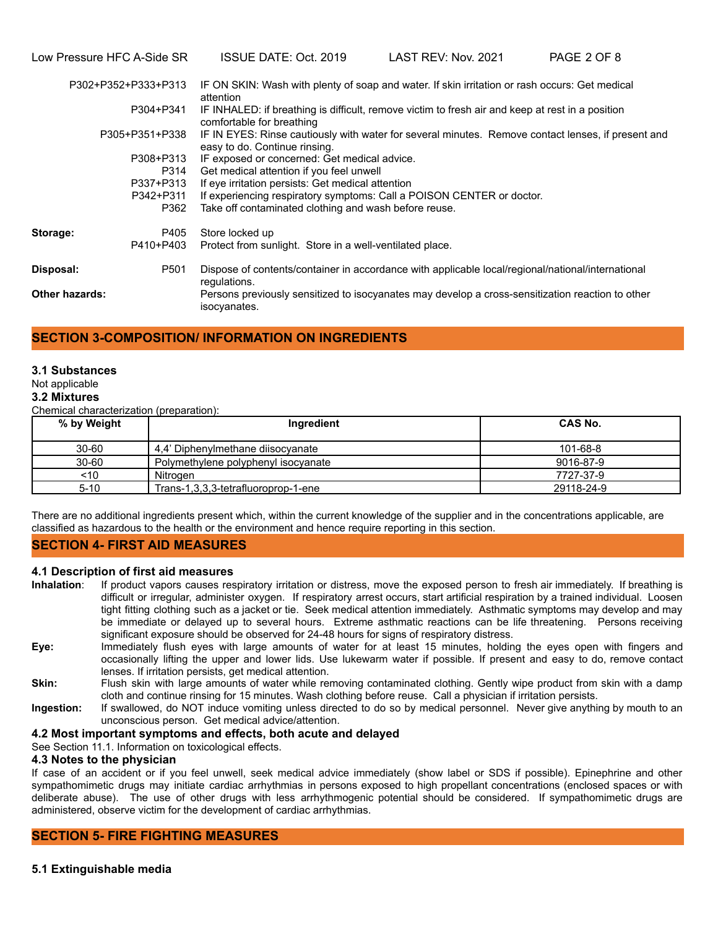Low Pressure HFC A-Side SR ISSUE DATE: Oct. 2019 LAST REV: Nov. 2021 PAGE 2 OF 8

|                       | P302+P352+P333+P313 | IF ON SKIN: Wash with plenty of soap and water. If skin irritation or rash occurs: Get medical<br>attention                         |
|-----------------------|---------------------|-------------------------------------------------------------------------------------------------------------------------------------|
|                       | P304+P341           | IF INHALED: if breathing is difficult, remove victim to fresh air and keep at rest in a position<br>comfortable for breathing       |
|                       | P305+P351+P338      | IF IN EYES: Rinse cautiously with water for several minutes. Remove contact lenses, if present and<br>easy to do. Continue rinsing. |
|                       | P308+P313           | IF exposed or concerned: Get medical advice.                                                                                        |
|                       | P314                | Get medical attention if you feel unwell                                                                                            |
|                       | P337+P313           | If eye irritation persists: Get medical attention                                                                                   |
|                       | P342+P311           | If experiencing respiratory symptoms: Call a POISON CENTER or doctor.                                                               |
|                       | P362                | Take off contaminated clothing and wash before reuse.                                                                               |
| Storage:              | P405                | Store locked up                                                                                                                     |
|                       | P410+P403           | Protect from sunlight. Store in a well-ventilated place.                                                                            |
| Disposal:             | P <sub>501</sub>    | Dispose of contents/container in accordance with applicable local/regional/national/international<br>regulations.                   |
| <b>Other hazards:</b> |                     | Persons previously sensitized to isocyanates may develop a cross-sensitization reaction to other<br>isocyanates.                    |

### **SECTION 3-COMPOSITION/ INFORMATION ON INGREDIENTS**

### **3.1 Substances**

### Not applicable

### **3.2 Mixtures**

Chemical characterization (preparation):

| % by Weight | Ingredient                          | CAS No.        |
|-------------|-------------------------------------|----------------|
| $30 - 60$   | 4.4' Diphenylmethane diisocyanate   | $101 - 68 - 8$ |
| $30 - 60$   | Polymethylene polyphenyl isocyanate | 9016-87-9      |
| ~10         | Nitrogen                            | 7727-37-9      |
| $5 - 10$    | Trans-1,3,3,3-tetrafluoroprop-1-ene | 29118-24-9     |

There are no additional ingredients present which, within the current knowledge of the supplier and in the concentrations applicable, are classified as hazardous to the health or the environment and hence require reporting in this section.

### **SECTION 4- FIRST AID MEASURES**

### **4.1 Description of first aid measures**

**Inhalation**: If product vapors causes respiratory irritation or distress, move the exposed person to fresh air immediately. If breathing is difficult or irregular, administer oxygen. If respiratory arrest occurs, start artificial respiration by a trained individual. Loosen tight fitting clothing such as a jacket or tie. Seek medical attention immediately. Asthmatic symptoms may develop and may be immediate or delayed up to several hours. Extreme asthmatic reactions can be life threatening. Persons receiving significant exposure should be observed for 24-48 hours for signs of respiratory distress.

- **Eye:** Immediately flush eyes with large amounts of water for at least 15 minutes, holding the eyes open with fingers and occasionally lifting the upper and lower lids. Use lukewarm water if possible. If present and easy to do, remove contact lenses. If irritation persists, get medical attention.
- **Skin:** Flush skin with large amounts of water while removing contaminated clothing. Gently wipe product from skin with a damp cloth and continue rinsing for 15 minutes. Wash clothing before reuse. Call a physician if irritation persists.
- **Ingestion:** If swallowed, do NOT induce vomiting unless directed to do so by medical personnel. Never give anything by mouth to an unconscious person. Get medical advice/attention.

### **4.2 Most important symptoms and effects, both acute and delayed**

See Section 11.1. Information on toxicological effects.

### **4.3 Notes to the physician**

If case of an accident or if you feel unwell, seek medical advice immediately (show label or SDS if possible). Epinephrine and other sympathomimetic drugs may initiate cardiac arrhythmias in persons exposed to high propellant concentrations (enclosed spaces or with deliberate abuse). The use of other drugs with less arrhythmogenic potential should be considered. If sympathomimetic drugs are administered, observe victim for the development of cardiac arrhythmias.

### **SECTION 5- FIRE FIGHTING MEASURES**

**5.1 Extinguishable media**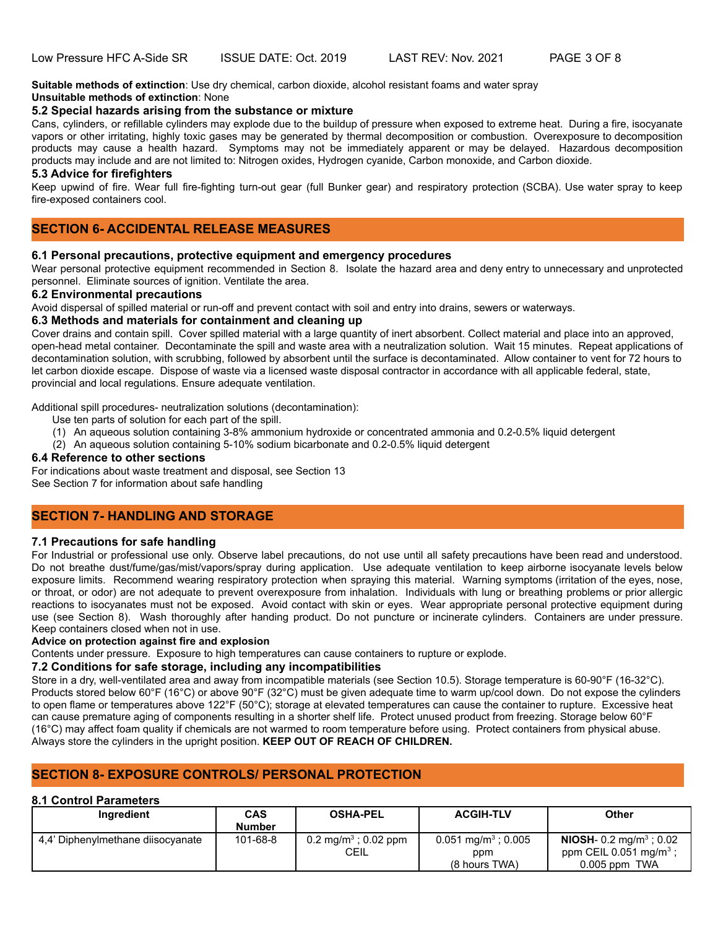**Suitable methods of extinction**: Use dry chemical, carbon dioxide, alcohol resistant foams and water spray **Unsuitable methods of extinction**: None

### **5.2 Special hazards arising from the substance or mixture**

Cans, cylinders, or refillable cylinders may explode due to the buildup of pressure when exposed to extreme heat. During a fire, isocyanate vapors or other irritating, highly toxic gases may be generated by thermal decomposition or combustion. Overexposure to decomposition products may cause a health hazard. Symptoms may not be immediately apparent or may be delayed. Hazardous decomposition products may include and are not limited to: Nitrogen oxides, Hydrogen cyanide, Carbon monoxide, and Carbon dioxide.

### **5.3 Advice for firefighters**

Keep upwind of fire. Wear full fire-fighting turn-out gear (full Bunker gear) and respiratory protection (SCBA). Use water spray to keep fire-exposed containers cool.

### **SECTION 6- ACCIDENTAL RELEASE MEASURES**

### **6.1 Personal precautions, protective equipment and emergency procedures**

Wear personal protective equipment recommended in Section 8. Isolate the hazard area and deny entry to unnecessary and unprotected personnel. Eliminate sources of ignition. Ventilate the area.

### **6.2 Environmental precautions**

Avoid dispersal of spilled material or run-off and prevent contact with soil and entry into drains, sewers or waterways.

### **6.3 Methods and materials for containment and cleaning up**

Cover drains and contain spill. Cover spilled material with a large quantity of inert absorbent. Collect material and place into an approved, open-head metal container. Decontaminate the spill and waste area with a neutralization solution. Wait 15 minutes. Repeat applications of decontamination solution, with scrubbing, followed by absorbent until the surface is decontaminated. Allow container to vent for 72 hours to let carbon dioxide escape. Dispose of waste via a licensed waste disposal contractor in accordance with all applicable federal, state, provincial and local regulations. Ensure adequate ventilation.

Additional spill procedures- neutralization solutions (decontamination):

- Use ten parts of solution for each part of the spill.
	- (1) An aqueous solution containing 3-8% ammonium hydroxide or concentrated ammonia and 0.2-0.5% liquid detergent
- (2) An aqueous solution containing 5-10% sodium bicarbonate and 0.2-0.5% liquid detergent

### **6.4 Reference to other sections**

For indications about waste treatment and disposal, see Section 13

See Section 7 for information about safe handling

### **SECTION 7- HANDLING AND STORAGE**

### **7.1 Precautions for safe handling**

For Industrial or professional use only. Observe label precautions, do not use until all safety precautions have been read and understood. Do not breathe dust/fume/gas/mist/vapors/spray during application. Use adequate ventilation to keep airborne isocyanate levels below exposure limits. Recommend wearing respiratory protection when spraying this material. Warning symptoms (irritation of the eyes, nose, or throat, or odor) are not adequate to prevent overexposure from inhalation. Individuals with lung or breathing problems or prior allergic reactions to isocyanates must not be exposed. Avoid contact with skin or eyes. Wear appropriate personal protective equipment during use (see Section 8). Wash thoroughly after handing product. Do not puncture or incinerate cylinders. Containers are under pressure. Keep containers closed when not in use.

### **Advice on protection against fire and explosion**

Contents under pressure. Exposure to high temperatures can cause containers to rupture or explode.

### **7.2 Conditions for safe storage, including any incompatibilities**

Store in a dry, well-ventilated area and away from incompatible materials (see Section 10.5). Storage temperature is 60-90°F (16-32°C). Products stored below 60°F (16°C) or above 90°F (32°C) must be given adequate time to warm up/cool down. Do not expose the cylinders to open flame or temperatures above 122°F (50°C); storage at elevated temperatures can cause the container to rupture. Excessive heat can cause premature aging of components resulting in a shorter shelf life. Protect unused product from freezing. Storage below 60°F (16°C) may affect foam quality if chemicals are not warmed to room temperature before using. Protect containers from physical abuse. Always store the cylinders in the upright position. **KEEP OUT OF REACH OF CHILDREN.**

### **SECTION 8- EXPOSURE CONTROLS/ PERSONAL PROTECTION**

### **8.1 Control Parameters**

| <b>Ingredient</b>                 | <b>CAS</b><br><b>Number</b> | <b>OSHA-PEL</b>                          | <b>ACGIH-TLV</b>                                          | <b>Other</b>                                                                                        |
|-----------------------------------|-----------------------------|------------------------------------------|-----------------------------------------------------------|-----------------------------------------------------------------------------------------------------|
| 4.4' Diphenylmethane diisocyanate | 101-68-8                    | 0.2 mg/m <sup>3</sup> ; 0.02 ppm<br>CEIL | $0.051$ mg/m <sup>3</sup> ; 0.005<br>ppm<br>(8 hours TWA) | <b>NIOSH-</b> 0.2 mg/m <sup>3</sup> ; 0.02<br>ppm CEIL 0.051 mg/m <sup>3</sup> ;<br>$0.005$ ppm TWA |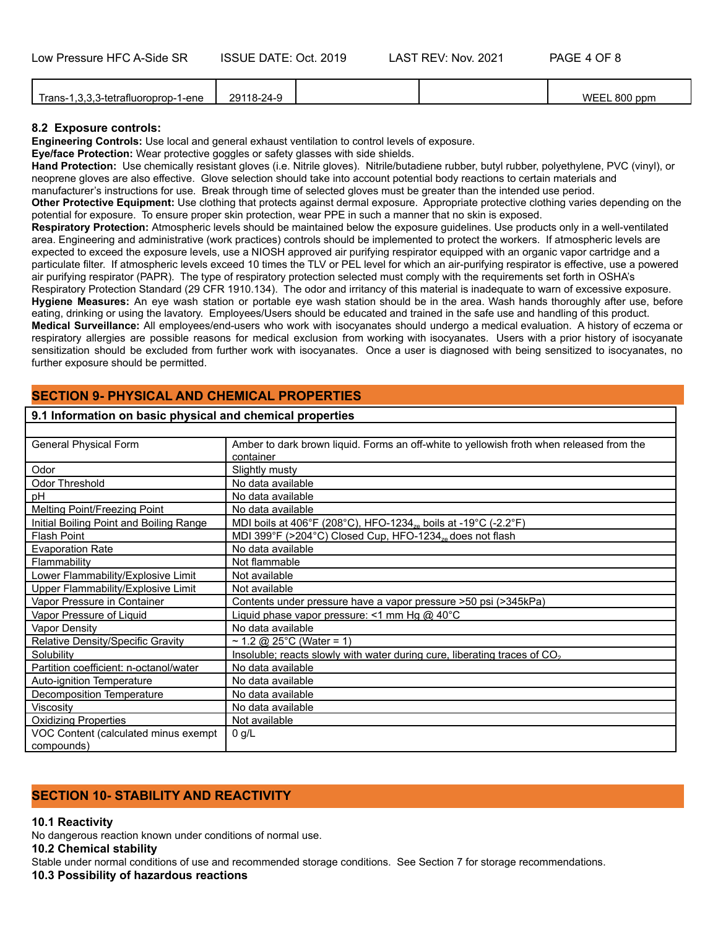| $\sim$ $\sim$ $\sim$<br>- 1 - - 0<br>rans-<br>l-ene<br>тгатн<br>oroo-<br>. ו-ר | 2011<br>$18-24$<br>∸∽ |  | <b>WEEL 800</b><br>n ppm |
|--------------------------------------------------------------------------------|-----------------------|--|--------------------------|
|                                                                                |                       |  |                          |

### **8.2 Exposure controls:**

**Engineering Controls:** Use local and general exhaust ventilation to control levels of exposure.

**Eye/face Protection:** Wear protective goggles or safety glasses with side shields.

**Hand Protection:** Use chemically resistant gloves (i.e. Nitrile gloves). Nitrile/butadiene rubber, butyl rubber, polyethylene, PVC (vinyl), or neoprene gloves are also effective. Glove selection should take into account potential body reactions to certain materials and

manufacturer's instructions for use. Break through time of selected gloves must be greater than the intended use period. **Other Protective Equipment:** Use clothing that protects against dermal exposure. Appropriate protective clothing varies depending on the potential for exposure. To ensure proper skin protection, wear PPE in such a manner that no skin is exposed.

**Respiratory Protection:** Atmospheric levels should be maintained below the exposure guidelines. Use products only in a well-ventilated area. Engineering and administrative (work practices) controls should be implemented to protect the workers. If atmospheric levels are expected to exceed the exposure levels, use a NIOSH approved air purifying respirator equipped with an organic vapor cartridge and a particulate filter. If atmospheric levels exceed 10 times the TLV or PEL level for which an air-purifying respirator is effective, use a powered air purifying respirator (PAPR). The type of respiratory protection selected must comply with the requirements set forth in OSHA's Respiratory Protection Standard (29 CFR 1910.134). The odor and irritancy of this material is inadequate to warn of excessive exposure. **Hygiene Measures:** An eye wash station or portable eye wash station should be in the area. Wash hands thoroughly after use, before eating, drinking or using the lavatory. Employees/Users should be educated and trained in the safe use and handling of this product. **Medical Surveillance:** All employees/end-users who work with isocyanates should undergo a medical evaluation. A history of eczema or respiratory allergies are possible reasons for medical exclusion from working with isocyanates. Users with a prior history of isocyanate sensitization should be excluded from further work with isocyanates. Once a user is diagnosed with being sensitized to isocyanates, no further exposure should be permitted.

### **SECTION 9- PHYSICAL AND CHEMICAL PROPERTIES 9.1 Information on basic physical and chemical properties**

### General Physical Form **Amber to dark brown liquid. Forms an off-white to yellowish froth when released from the** container Odor Slightly musty Odor Threshold No data available pH No data available Melting Point/Freezing Point No data available Initial Boiling Point and Boiling Range MDI boils at 406°F (208°C), HFO-1234<sub>ze</sub> boils at -19°C (-2.2°F)<br>Flash Point dish MDI 399°F (>204°C) Closed Cup, HFO-1234<sub>ze</sub> does not flash Flash Point MDI 399°F (>204°C) Closed Cup, HFO-1234<sub>ze</sub> does not flash<br>Evaporation Rate No data available No data available Flammability Reserves and Not flammable Lower Flammability/Explosive Limit | Not available Upper Flammability/Explosive Limit Not available Vapor Pressure in Container Contents under pressure have a vapor pressure >50 psi (>345kPa)<br>Vapor Pressure of Liquid (Contents Liquid phase vapor pressure: <1 mm Hg @ 40°C Liquid phase vapor pressure: <1 mm Hg  $@$  40°C Vapor Density No data available Relative Density/Specific Gravity  $25^{\circ}$ C (Water = 1) Solubility<br>
Partition coefficient: n-octanol/water
No data available<br>
No data available Partition coefficient: n-octanol/water Auto-ignition Temperature No data available Decomposition Temperature No data available Viscosity **No data available** Oxidizing Properties Not available VOC Content (calculated minus exempt compounds)  $0$   $a/L$

## **10.1 Reactivity**

**SECTION 10- STABILITY AND REACTIVITY**

No dangerous reaction known under conditions of normal use.

**10.2 Chemical stability**

Stable under normal conditions of use and recommended storage conditions. See Section 7 for storage recommendations.

### **10.3 Possibility of hazardous reactions**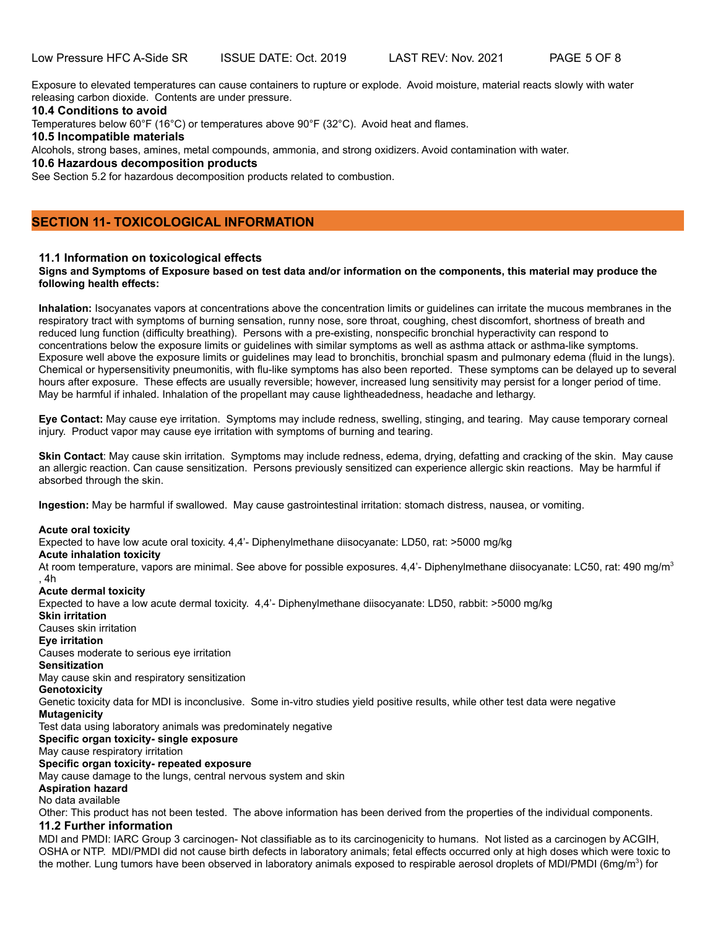Exposure to elevated temperatures can cause containers to rupture or explode. Avoid moisture, material reacts slowly with water releasing carbon dioxide. Contents are under pressure.

### **10.4 Conditions to avoid**

Temperatures below 60°F (16°C) or temperatures above 90°F (32°C). Avoid heat and flames.

**10.5 Incompatible materials**

Alcohols, strong bases, amines, metal compounds, ammonia, and strong oxidizers. Avoid contamination with water.

### **10.6 Hazardous decomposition products**

See Section 5.2 for hazardous decomposition products related to combustion.

### **SECTION 11- TOXICOLOGICAL INFORMATION**

### **11.1 Information on toxicological effects**

### **Signs and Symptoms of Exposure based on test data and/or information on the components, this material may produce the following health effects:**

**Inhalation:** Isocyanates vapors at concentrations above the concentration limits or guidelines can irritate the mucous membranes in the respiratory tract with symptoms of burning sensation, runny nose, sore throat, coughing, chest discomfort, shortness of breath and reduced lung function (difficulty breathing). Persons with a pre-existing, nonspecific bronchial hyperactivity can respond to concentrations below the exposure limits or guidelines with similar symptoms as well as asthma attack or asthma-like symptoms. Exposure well above the exposure limits or guidelines may lead to bronchitis, bronchial spasm and pulmonary edema (fluid in the lungs). Chemical or hypersensitivity pneumonitis, with flu-like symptoms has also been reported. These symptoms can be delayed up to several hours after exposure. These effects are usually reversible; however, increased lung sensitivity may persist for a longer period of time. May be harmful if inhaled. Inhalation of the propellant may cause lightheadedness, headache and lethargy.

**Eye Contact:** May cause eye irritation. Symptoms may include redness, swelling, stinging, and tearing. May cause temporary corneal injury. Product vapor may cause eye irritation with symptoms of burning and tearing.

**Skin Contact**: May cause skin irritation. Symptoms may include redness, edema, drying, defatting and cracking of the skin. May cause an allergic reaction. Can cause sensitization. Persons previously sensitized can experience allergic skin reactions. May be harmful if absorbed through the skin.

**Ingestion:** May be harmful if swallowed. May cause gastrointestinal irritation: stomach distress, nausea, or vomiting.

#### **Acute oral toxicity**

Expected to have low acute oral toxicity. 4,4'- Diphenylmethane diisocyanate: LD50, rat: >5000 mg/kg

### **Acute inhalation toxicity**

At room temperature, vapors are minimal. See above for possible exposures. 4,4'- Diphenylmethane diisocyanate: LC50, rat: 490 mg/m<sup>3</sup> , 4h

**Acute dermal toxicity**

Expected to have a low acute dermal toxicity. 4,4'- Diphenylmethane diisocyanate: LD50, rabbit: >5000 mg/kg **Skin irritation** Causes skin irritation **Eye irritation** Causes moderate to serious eye irritation **Sensitization** May cause skin and respiratory sensitization **Genotoxicity** Genetic toxicity data for MDI is inconclusive. Some in-vitro studies yield positive results, while other test data were negative **Mutagenicity** Test data using laboratory animals was predominately negative **Specific organ toxicity- single exposure** May cause respiratory irritation **Specific organ toxicity- repeated exposure** May cause damage to the lungs, central nervous system and skin **Aspiration hazard** No data available Other: This product has not been tested. The above information has been derived from the properties of the individual components. **11.2 Further information** MDI and PMDI: IARC Group 3 carcinogen- Not classifiable as to its carcinogenicity to humans. Not listed as a carcinogen by ACGIH, OSHA or NTP. MDI/PMDI did not cause birth defects in laboratory animals; fetal effects occurred only at high doses which were toxic to the mother. Lung tumors have been observed in laboratory animals exposed to respirable aerosol droplets of MDI/PMDI (6mg/m<sup>3</sup>) for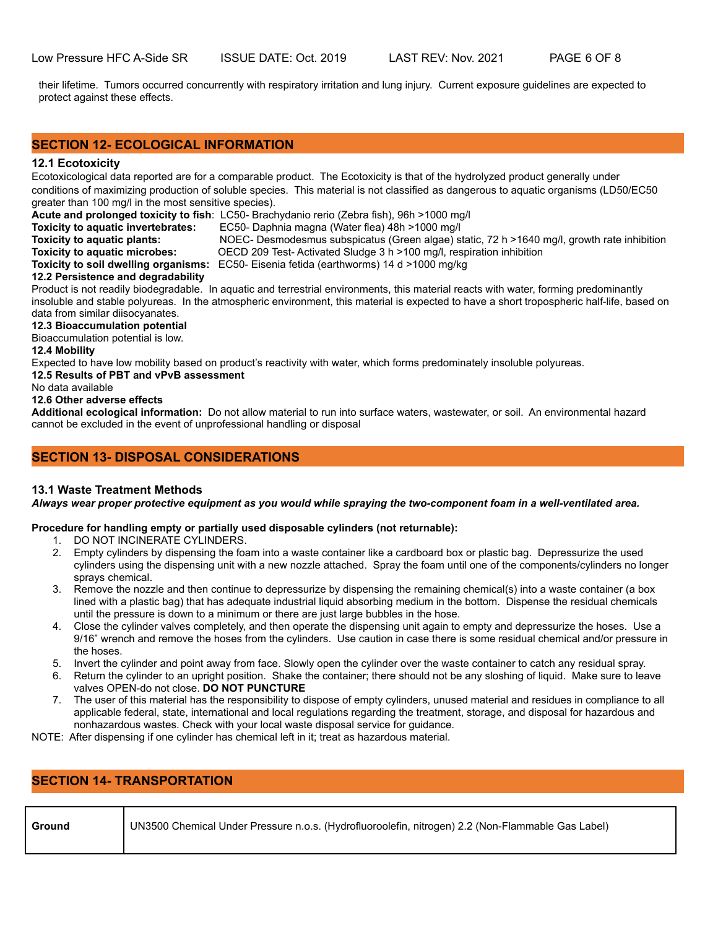their lifetime. Tumors occurred concurrently with respiratory irritation and lung injury. Current exposure guidelines are expected to protect against these effects.

### **SECTION 12- ECOLOGICAL INFORMATION**

### **12.1 Ecotoxicity**

Ecotoxicological data reported are for a comparable product. The Ecotoxicity is that of the hydrolyzed product generally under conditions of maximizing production of soluble species. This material is not classified as dangerous to aquatic organisms (LD50/EC50 greater than 100 mg/l in the most sensitive species).

**Acute and prolonged toxicity to fish**: LC50- Brachydanio rerio (Zebra fish), 96h >1000 mg/l<br>**Toxicity to aquatic invertebrates:** EC50- Daphnia magna (Water flea) 48h >1000 mg/l

- 
- **Toxicity to aquatic invertebrates:** EC50- Daphnia magna (Water flea) 48h >1000 mg/l<br>**Toxicity to aquatic plants:** NOEC- Desmodesmus subspicatus (Green algae) st **Toxicity to aquatic plants:** NOEC- Desmodesmus subspicatus (Green algae) static, 72 h >1640 mg/l, growth rate inhibition<br>**Toxicity to aquatic microbes:** OECD 209 Test-Activated Sludge 3 h >100 mg/l, respiration inhibition OECD 209 Test- Activated Sludge 3 h >100 mg/l, respiration inhibition

**Toxicity to soil dwelling organisms:** EC50- Eisenia fetida (earthworms) 14 d >1000 mg/kg

### **12.2 Persistence and degradability**

Product is not readily biodegradable. In aquatic and terrestrial environments, this material reacts with water, forming predominantly insoluble and stable polyureas. In the atmospheric environment, this material is expected to have a short tropospheric half-life, based on data from similar diisocyanates.

### **12.3 Bioaccumulation potential**

Bioaccumulation potential is low.

### **12.4 Mobility**

Expected to have low mobility based on product's reactivity with water, which forms predominately insoluble polyureas.

### **12.5 Results of PBT and vPvB assessment**

No data available

### **12.6 Other adverse effects**

**Additional ecological information:** Do not allow material to run into surface waters, wastewater, or soil. An environmental hazard cannot be excluded in the event of unprofessional handling or disposal

### **SECTION 13- DISPOSAL CONSIDERATIONS**

### **13.1 Waste Treatment Methods**

*Always wear proper protective equipment as you would while spraying the two-component foam in a well-ventilated area.*

### **Procedure for handling empty or partially used disposable cylinders (not returnable):**

- 1. DO NOT INCINERATE CYLINDERS.
- 2. Empty cylinders by dispensing the foam into a waste container like a cardboard box or plastic bag. Depressurize the used cylinders using the dispensing unit with a new nozzle attached. Spray the foam until one of the components/cylinders no longer sprays chemical.
- 3. Remove the nozzle and then continue to depressurize by dispensing the remaining chemical(s) into a waste container (a box lined with a plastic bag) that has adequate industrial liquid absorbing medium in the bottom. Dispense the residual chemicals until the pressure is down to a minimum or there are just large bubbles in the hose.
- 4. Close the cylinder valves completely, and then operate the dispensing unit again to empty and depressurize the hoses. Use a 9/16" wrench and remove the hoses from the cylinders. Use caution in case there is some residual chemical and/or pressure in the hoses.
- 5. Invert the cylinder and point away from face. Slowly open the cylinder over the waste container to catch any residual spray.
- 6. Return the cylinder to an upright position. Shake the container; there should not be any sloshing of liquid. Make sure to leave valves OPEN-do not close. **DO NOT PUNCTURE**
- 7. The user of this material has the responsibility to dispose of empty cylinders, unused material and residues in compliance to all applicable federal, state, international and local regulations regarding the treatment, storage, and disposal for hazardous and nonhazardous wastes. Check with your local waste disposal service for guidance.

NOTE: After dispensing if one cylinder has chemical left in it; treat as hazardous material.

# **SECTION 14- TRANSPORTATION**

**Ground** UN3500 Chemical Under Pressure n.o.s. (Hydrofluoroolefin, nitrogen) 2.2 (Non-Flammable Gas Label)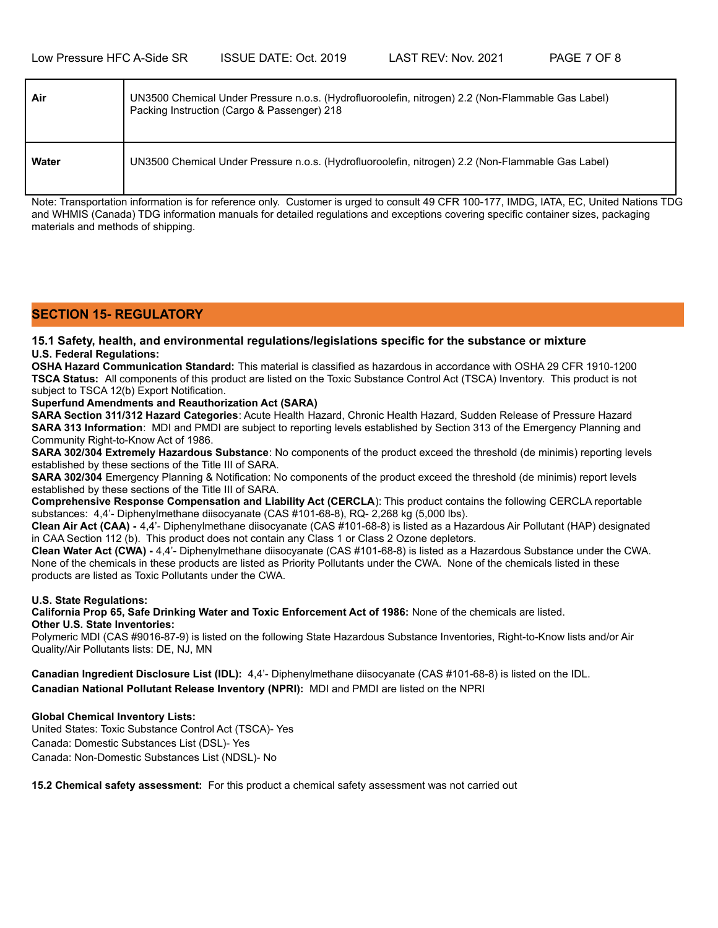| Air   | UN3500 Chemical Under Pressure n.o.s. (Hydrofluoroolefin, nitrogen) 2.2 (Non-Flammable Gas Label)<br>Packing Instruction (Cargo & Passenger) 218 |
|-------|--------------------------------------------------------------------------------------------------------------------------------------------------|
| Water | UN3500 Chemical Under Pressure n.o.s. (Hydrofluoroolefin, nitrogen) 2.2 (Non-Flammable Gas Label)                                                |

Note: Transportation information is for reference only. Customer is urged to consult 49 CFR 100-177, IMDG, IATA, EC, United Nations TDG and WHMIS (Canada) TDG information manuals for detailed regulations and exceptions covering specific container sizes, packaging materials and methods of shipping.

### **SECTION 15- REGULATORY**

### **15.1 Safety, health, and environmental regulations/legislations specific for the substance or mixture U.S. Federal Regulations:**

**OSHA Hazard Communication Standard:** This material is classified as hazardous in accordance with OSHA 29 CFR 1910-1200 **TSCA Status:** All components of this product are listed on the Toxic Substance Control Act (TSCA) Inventory. This product is not subject to TSCA 12(b) Export Notification.

### **Superfund Amendments and Reauthorization Act (SARA)**

**SARA Section 311/312 Hazard Categories**: Acute Health Hazard, Chronic Health Hazard, Sudden Release of Pressure Hazard **SARA 313 Information**: MDI and PMDI are subject to reporting levels established by Section 313 of the Emergency Planning and Community Right-to-Know Act of 1986.

**SARA 302/304 Extremely Hazardous Substance**: No components of the product exceed the threshold (de minimis) reporting levels established by these sections of the Title III of SARA.

**SARA 302/304** Emergency Planning & Notification: No components of the product exceed the threshold (de minimis) report levels established by these sections of the Title III of SARA.

**Comprehensive Response Compensation and Liability Act (CERCLA**): This product contains the following CERCLA reportable substances: 4,4'- Diphenylmethane diisocyanate (CAS #101-68-8), RQ- 2,268 kg (5,000 lbs).

**Clean Air Act (CAA) -** 4,4'- Diphenylmethane diisocyanate (CAS #101-68-8) is listed as a Hazardous Air Pollutant (HAP) designated in CAA Section 112 (b). This product does not contain any Class 1 or Class 2 Ozone depletors.

**Clean Water Act (CWA) -** 4,4'- Diphenylmethane diisocyanate (CAS #101-68-8) is listed as a Hazardous Substance under the CWA. None of the chemicals in these products are listed as Priority Pollutants under the CWA. None of the chemicals listed in these products are listed as Toxic Pollutants under the CWA.

### **U.S. State Regulations:**

**California Prop 65, Safe Drinking Water and Toxic Enforcement Act of 1986:** None of the chemicals are listed. **Other U.S. State Inventories:**

Polymeric MDI (CAS #9016-87-9) is listed on the following State Hazardous Substance Inventories, Right-to-Know lists and/or Air Quality/Air Pollutants lists: DE, NJ, MN

**Canadian Ingredient Disclosure List (IDL):** 4,4'- Diphenylmethane diisocyanate (CAS #101-68-8) is listed on the IDL. **Canadian National Pollutant Release Inventory (NPRI):** MDI and PMDI are listed on the NPRI

### **Global Chemical Inventory Lists:**

United States: Toxic Substance Control Act (TSCA)- Yes Canada: Domestic Substances List (DSL)- Yes Canada: Non-Domestic Substances List (NDSL)- No

**15.2 Chemical safety assessment:** For this product a chemical safety assessment was not carried out